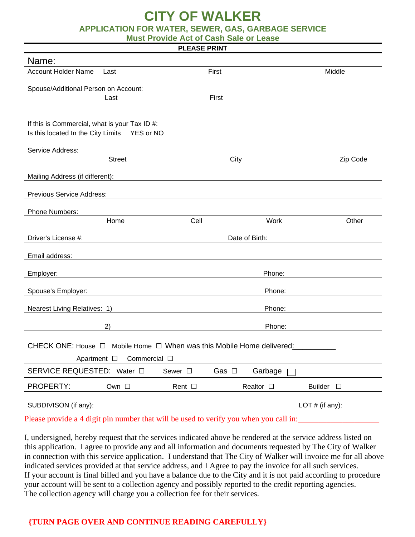## **CITY OF WALKER**

**APPLICATION FOR WATER, SEWER, GAS, GARBAGE SERVICE**

**Must Provide Act of Cash Sale or Lease**

| <b>PLEASE PRINT</b>                                                             |                |                 |                          |                          |
|---------------------------------------------------------------------------------|----------------|-----------------|--------------------------|--------------------------|
| Name:                                                                           |                |                 |                          |                          |
| <b>Account Holder Name</b>                                                      | Last           | First           |                          | Middle                   |
| Spouse/Additional Person on Account:                                            |                |                 |                          |                          |
|                                                                                 | Last           | First           |                          |                          |
|                                                                                 |                |                 |                          |                          |
| If this is Commercial, what is your Tax ID #:                                   |                |                 |                          |                          |
| Is this located In the City Limits                                              | YES or NO      |                 |                          |                          |
| Service Address:                                                                |                |                 |                          |                          |
|                                                                                 | <b>Street</b>  |                 | City                     | Zip Code                 |
| Mailing Address (if different):                                                 |                |                 |                          |                          |
|                                                                                 |                |                 |                          |                          |
| Previous Service Address:                                                       |                |                 |                          |                          |
| <b>Phone Numbers:</b>                                                           |                |                 |                          |                          |
|                                                                                 | Home           | Cell            | Work                     | Other                    |
| Driver's License #:                                                             | Date of Birth: |                 |                          |                          |
|                                                                                 |                |                 |                          |                          |
| Email address:                                                                  |                |                 |                          |                          |
| Employer:                                                                       |                |                 | Phone:                   |                          |
| Spouse's Employer:                                                              |                |                 | Phone:                   |                          |
| Nearest Living Relatives: 1)                                                    |                |                 | Phone:                   |                          |
|                                                                                 |                |                 |                          |                          |
|                                                                                 | 2)             |                 | Phone:                   |                          |
| CHECK ONE: House $\Box$ Mobile Home $\Box$ When was this Mobile Home delivered: |                |                 |                          |                          |
| Apartment □<br>Commercial $\Box$                                                |                |                 |                          |                          |
| SERVICE REQUESTED: Water $\square$                                              |                | Sewer $\square$ | Gas $\square$<br>Garbage |                          |
| PROPERTY:                                                                       | Own $\square$  | Rent $\Box$     | Realtor $\square$        | <b>Builder</b><br>$\Box$ |
| SUBDIVISON (if any):<br>LOT $#$ (if any):                                       |                |                 |                          |                          |
|                                                                                 |                |                 |                          |                          |

Please provide a 4 digit pin number that will be used to verify you when you call in:

I, undersigned, hereby request that the services indicated above be rendered at the service address listed on this application. I agree to provide any and all information and documents requested by The City of Walker in connection with this service application. I understand that The City of Walker will invoice me for all above indicated services provided at that service address, and I Agree to pay the invoice for all such services. If your account is final billed and you have a balance due to the City and it is not paid according to procedure your account will be sent to a collection agency and possibly reported to the credit reporting agencies. The collection agency will charge you a collection fee for their services.

## **{TURN PAGE OVER AND CONTINUE READING CAREFULLY}**